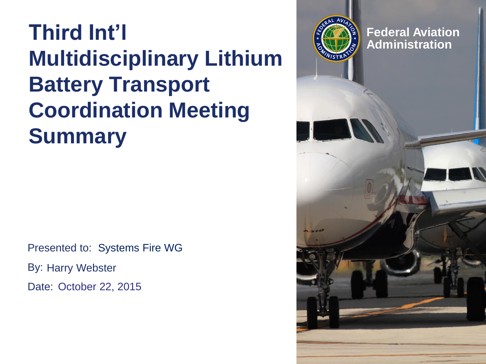#### **Third Int'l Multidisciplinary Lithium Battery Transport Coordination Meeting Summary**

Presented to: Systems Fire WG By: Harry Webster Date: October 22, 2015

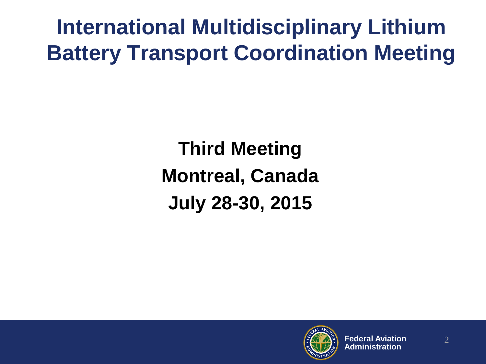**International Multidisciplinary Lithium Battery Transport Coordination Meeting**

> **Third Meeting Montreal, Canada July 28-30, 2015**

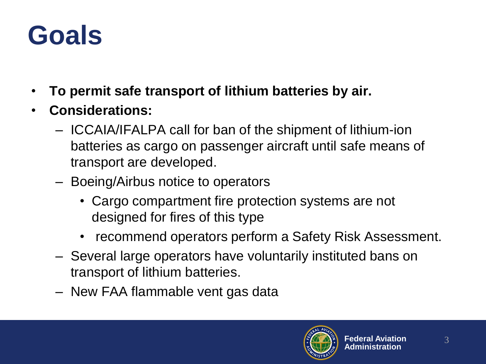#### **Goals**

- **To permit safe transport of lithium batteries by air.**
- **Considerations:**
	- ICCAIA/IFALPA call for ban of the shipment of lithium-ion batteries as cargo on passenger aircraft until safe means of transport are developed.
	- Boeing/Airbus notice to operators
		- Cargo compartment fire protection systems are not designed for fires of this type
		- recommend operators perform a Safety Risk Assessment.
	- Several large operators have voluntarily instituted bans on transport of lithium batteries.
	- New FAA flammable vent gas data

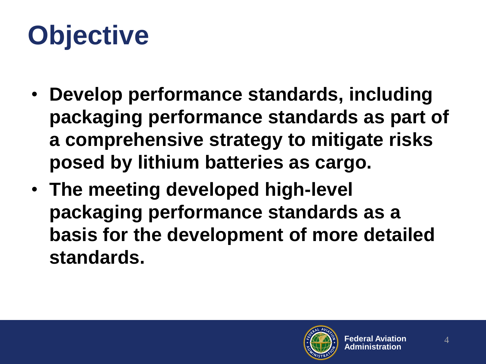# **Objective**

- **Develop performance standards, including packaging performance standards as part of a comprehensive strategy to mitigate risks posed by lithium batteries as cargo.**
- **The meeting developed high-level packaging performance standards as a basis for the development of more detailed standards.**

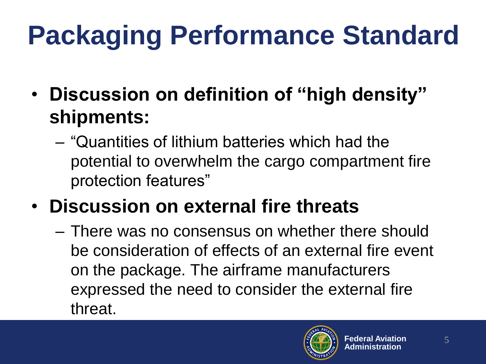# **Packaging Performance Standard**

- **Discussion on definition of "high density" shipments:**
	- "Quantities of lithium batteries which had the potential to overwhelm the cargo compartment fire protection features"
- **Discussion on external fire threats**
	- There was no consensus on whether there should be consideration of effects of an external fire event on the package. The airframe manufacturers expressed the need to consider the external fire threat.

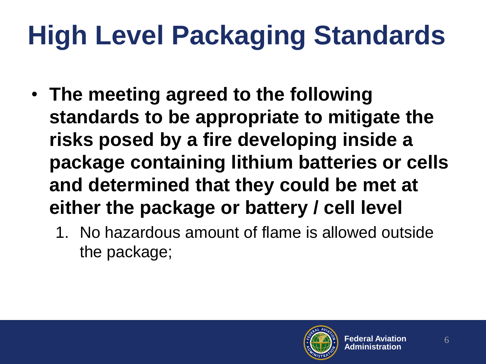# **High Level Packaging Standards**

- **The meeting agreed to the following standards to be appropriate to mitigate the risks posed by a fire developing inside a package containing lithium batteries or cells and determined that they could be met at either the package or battery / cell level**
	- 1. No hazardous amount of flame is allowed outside the package;

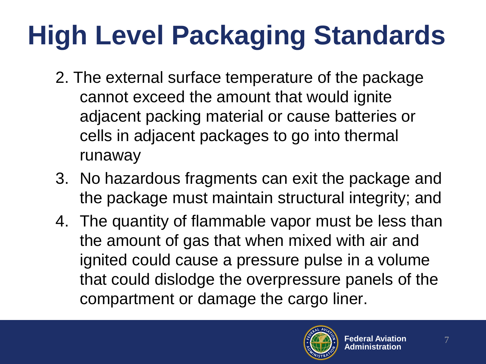# **High Level Packaging Standards**

- 2. The external surface temperature of the package cannot exceed the amount that would ignite adjacent packing material or cause batteries or cells in adjacent packages to go into thermal runaway
- 3. No hazardous fragments can exit the package and the package must maintain structural integrity; and
- 4. The quantity of flammable vapor must be less than the amount of gas that when mixed with air and ignited could cause a pressure pulse in a volume that could dislodge the overpressure panels of the compartment or damage the cargo liner.

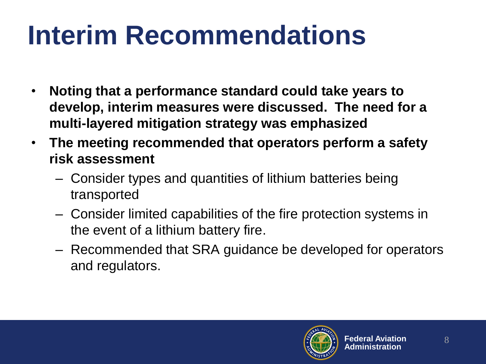## **Interim Recommendations**

- **Noting that a performance standard could take years to develop, interim measures were discussed. The need for a multi-layered mitigation strategy was emphasized**
- **The meeting recommended that operators perform a safety risk assessment**
	- Consider types and quantities of lithium batteries being transported
	- Consider limited capabilities of the fire protection systems in the event of a lithium battery fire.
	- Recommended that SRA guidance be developed for operators and regulators.

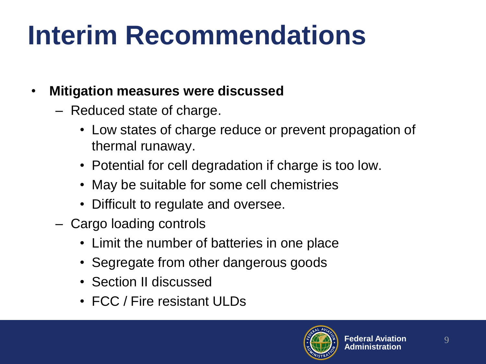## **Interim Recommendations**

- **Mitigation measures were discussed**
	- Reduced state of charge.
		- Low states of charge reduce or prevent propagation of thermal runaway.
		- Potential for cell degradation if charge is too low.
		- May be suitable for some cell chemistries
		- Difficult to regulate and oversee.
	- Cargo loading controls
		- Limit the number of batteries in one place
		- Segregate from other dangerous goods
		- Section II discussed
		- FCC / Fire resistant ULDs

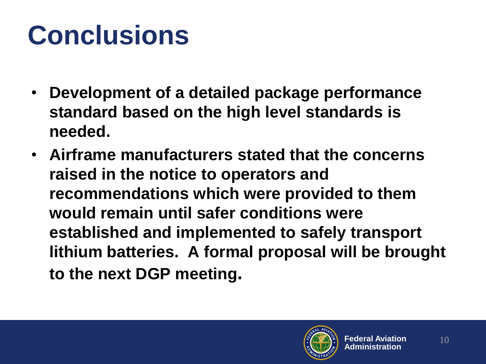### **Conclusions**

- **Development of a detailed package performance standard based on the high level standards is needed.**
- **Airframe manufacturers stated that the concerns raised in the notice to operators and recommendations which were provided to them would remain until safer conditions were established and implemented to safely transport lithium batteries. A formal proposal will be brought to the next DGP meeting.**

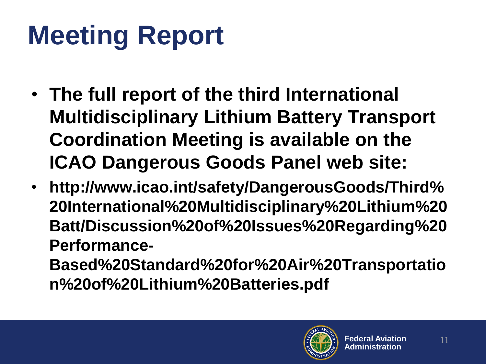## **Meeting Report**

- **The full report of the third International Multidisciplinary Lithium Battery Transport Coordination Meeting is available on the ICAO Dangerous Goods Panel web site:**
- **http://www.icao.int/safety/DangerousGoods/Third% 20International%20Multidisciplinary%20Lithium%20 Batt/Discussion%20of%20Issues%20Regarding%20 Performance-**

**Based%20Standard%20for%20Air%20Transportatio n%20of%20Lithium%20Batteries.pdf**